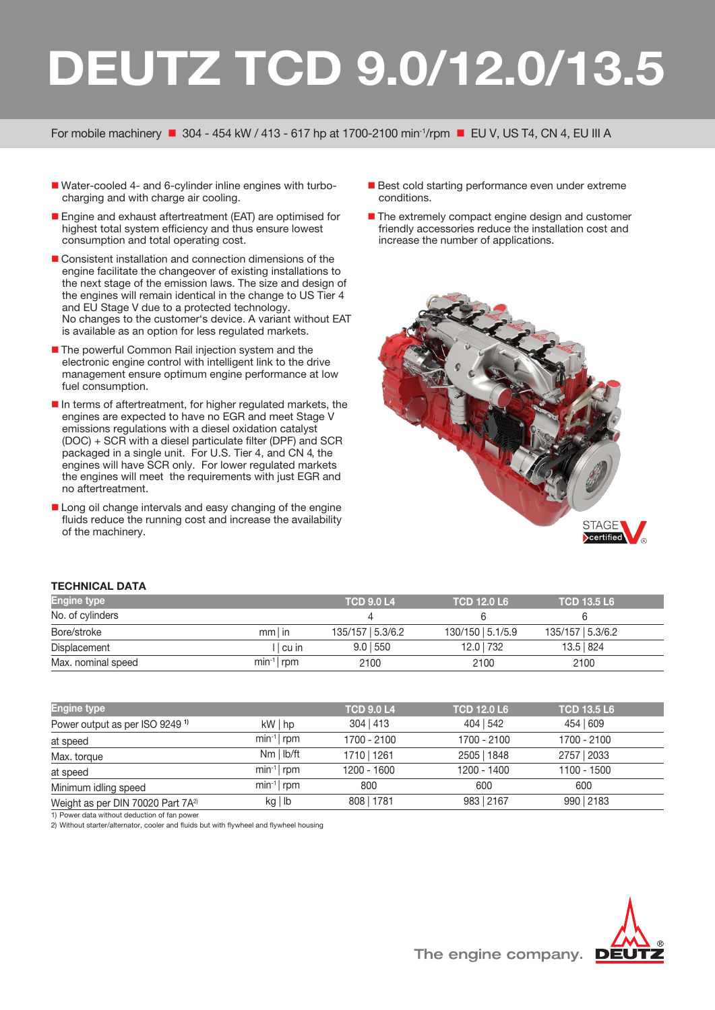## **DEUTZ TCD 9.0/12.0/13.5**

For mobile machinery  $\blacksquare$  304 - 454 kW / 413 - 617 hp at 1700-2100 min<sup>-1</sup>/rpm  $\blacksquare$  EU V, US T4, CN 4, EU III A

- Water-cooled 4- and 6-cylinder inline engines with turbocharging and with charge air cooling.
- Engine and exhaust aftertreatment (EAT) are optimised for highest total system efficiency and thus ensure lowest consumption and total operating cost.
- Consistent installation and connection dimensions of the engine facilitate the changeover of existing installations to the next stage of the emission laws. The size and design of the engines will remain identical in the change to US Tier 4 and EU Stage V due to a protected technology. No changes to the customer's device. A variant without EAT is available as an option for less regulated markets.
- The powerful Common Rail injection system and the electronic engine control with intelligent link to the drive management ensure optimum engine performance at low fuel consumption.
- $\blacksquare$  In terms of aftertreatment, for higher regulated markets, the engines are expected to have no EGR and meet Stage V emissions regulations with a diesel oxidation catalyst (DOC) + SCR with a diesel particulate filter (DPF) and SCR packaged in a single unit. For U.S. Tier 4, and CN 4, the engines will have SCR only. For lower regulated markets the engines will meet the requirements with just EGR and no aftertreatment.
- Long oil change intervals and easy changing of the engine fluids reduce the running cost and increase the availability of the machinery.
- Best cold starting performance even under extreme conditions.
- The extremely compact engine design and customer friendly accessories reduce the installation cost and increase the number of applications.



## **TECHNICAL DATA**

| <b>Engine type</b> |                | <b>TCD 9.0 L4</b> | <b>TCD 12.0 L6</b> | <b>TCD 13.5 L6</b> |  |
|--------------------|----------------|-------------------|--------------------|--------------------|--|
| No. of cylinders   |                |                   |                    |                    |  |
| Bore/stroke        | $mm$ in        | 135/157 5.3/6.2   | 130/150   5.1/5.9  | 135/157   5.3/6.2  |  |
| Displacement       | l I cu in      | $9.0$   550       | 12.0 732           | 13.5 824           |  |
| Max. nominal speed | $min^{-1}$ rpm | 2100              | 2100               | 2100               |  |

| <b>Engine type</b>                            |                | <b>TCD 9.0 L4</b> | <b>TCD 12.0 L6</b> | <b>TCD 13.5 L6</b> |  |
|-----------------------------------------------|----------------|-------------------|--------------------|--------------------|--|
| Power output as per ISO 9249 <sup>1)</sup>    | $kW \mid hp$   | $304$   413       | 404   542          | 454 609            |  |
| at speed                                      | $min^{-1}$ rpm | 1700 - 2100       | 1700 - 2100        | 1700 - 2100        |  |
| Max. torque                                   | $Nm$   $lb/ft$ | 1710   1261       | 2505   1848        | 2757   2033        |  |
| at speed                                      | $min^{-1}$ rpm | 1200 - 1600       | 1200 - 1400        | $1100 - 1500$      |  |
| Minimum idling speed                          | $min^{-1}$ rpm | 800               | 600                | 600                |  |
| Weight as per DIN 70020 Part 7A <sup>2)</sup> | $kg \mid lb$   | 808   1781        | 983   2167         | 990   2183         |  |

1) Power data without deduction of fan powe

2) Without starter/alternator, cooler and fluids but with flywheel and flywheel housing